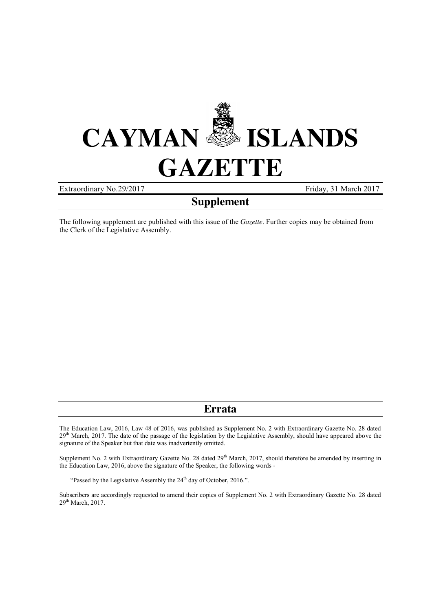

Extraordinary No. 29/2017 Friday, 31 March 2017

# **Supplement**

The following supplement are published with this issue of the *Gazette*. Further copies may be obtained from the Clerk of the Legislative Assembly.

# **Errata**

The Education Law, 2016, Law 48 of 2016, was published as Supplement No. 2 with Extraordinary Gazette No. 28 dated 29<sup>th</sup> March, 2017. The date of the passage of the legislation by the Legislative Assembly, should have appeared above the signature of the Speaker but that date was inadvertently omitted.

Supplement No. 2 with Extraordinary Gazette No. 28 dated 29<sup>th</sup> March, 2017, should therefore be amended by inserting in the Education Law, 2016, above the signature of the Speaker, the following words -

"Passed by the Legislative Assembly the 24<sup>th</sup> day of October, 2016.".

Subscribers are accordingly requested to amend their copies of Supplement No. 2 with Extraordinary Gazette No. 28 dated 29<sup>th</sup> March, 2017.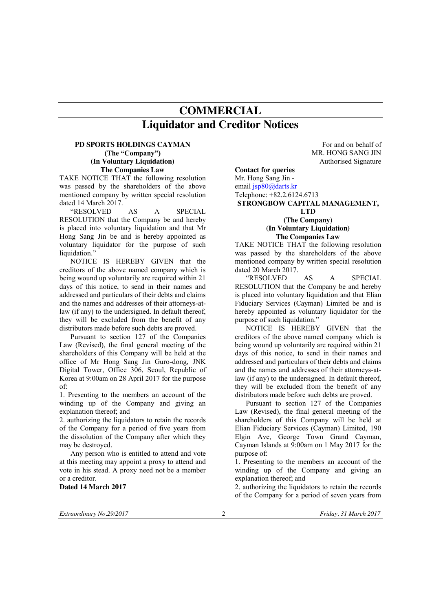# **COMMERCIAL Liquidator and Creditor Notices**

### **PD SPORTS HOLDINGS CAYMAN (The "Company") (In Voluntary Liquidation) The Companies Law**

TAKE NOTICE THAT the following resolution was passed by the shareholders of the above mentioned company by written special resolution dated 14 March 2017.

"RESOLVED AS A SPECIAL RESOLUTION that the Company be and hereby is placed into voluntary liquidation and that Mr Hong Sang Jin be and is hereby appointed as voluntary liquidator for the purpose of such liquidation."

NOTICE IS HEREBY GIVEN that the creditors of the above named company which is being wound up voluntarily are required within 21 days of this notice, to send in their names and addressed and particulars of their debts and claims and the names and addresses of their attorneys-atlaw (if any) to the undersigned. In default thereof, they will be excluded from the benefit of any distributors made before such debts are proved.

Pursuant to section 127 of the Companies Law (Revised), the final general meeting of the shareholders of this Company will be held at the office of Mr Hong Sang Jin Guro-dong, JNK Digital Tower, Office 306, Seoul, Republic of Korea at 9:00am on 28 April 2017 for the purpose of:

1. Presenting to the members an account of the winding up of the Company and giving an explanation thereof; and

2. authorizing the liquidators to retain the records of the Company for a period of five years from the dissolution of the Company after which they may be destroyed.

Any person who is entitled to attend and vote at this meeting may appoint a proxy to attend and vote in his stead. A proxy need not be a member or a creditor.

#### **Dated 14 March 2017**

For and on behalf of MR. HONG SANG JIN Authorised Signature

#### **Contact for queries**

Mr. Hong Sang Jin email jsp80@darts.kr Telephone: +82.2.6124.6713

### **STRONGBOW CAPITAL MANAGEMENT, LTD (The Company) (In Voluntary Liquidation) The Companies Law**

TAKE NOTICE THAT the following resolution was passed by the shareholders of the above mentioned company by written special resolution dated 20 March 2017.

"RESOLVED AS A SPECIAL RESOLUTION that the Company be and hereby is placed into voluntary liquidation and that Elian Fiduciary Services (Cayman) Limited be and is hereby appointed as voluntary liquidator for the purpose of such liquidation."

NOTICE IS HEREBY GIVEN that the creditors of the above named company which is being wound up voluntarily are required within 21 days of this notice, to send in their names and addressed and particulars of their debts and claims and the names and addresses of their attorneys-atlaw (if any) to the undersigned. In default thereof, they will be excluded from the benefit of any distributors made before such debts are proved.

Pursuant to section 127 of the Companies Law (Revised), the final general meeting of the shareholders of this Company will be held at Elian Fiduciary Services (Cayman) Limited, 190 Elgin Ave, George Town Grand Cayman, Cayman Islands at 9:00am on 1 May 2017 for the purpose of:

1. Presenting to the members an account of the winding up of the Company and giving an explanation thereof; and

2. authorizing the liquidators to retain the records of the Company for a period of seven years from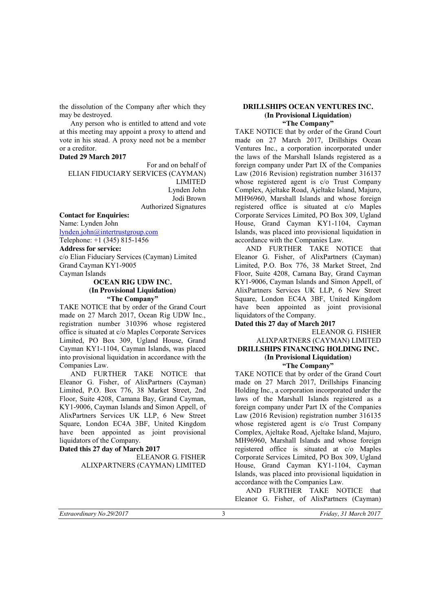the dissolution of the Company after which they may be destroyed.

Any person who is entitled to attend and vote at this meeting may appoint a proxy to attend and vote in his stead. A proxy need not be a member or a creditor.

#### **Dated 29 March 2017**

For and on behalf of ELIAN FIDUCIARY SERVICES (CAYMAN) LIMITED Lynden John Jodi Brown Authorized Signatures

**Contact for Enquiries:** Name: Lynden John lynden.john@intertrustgroup.com

Telephone: +1 (345) 815-1456

**Address for service:**

c/o Elian Fiduciary Services (Cayman) Limited Grand Cayman KY1-9005 Cayman Islands

# **OCEAN RIG UDW INC. (In Provisional Liquidation) "The Company"**

TAKE NOTICE that by order of the Grand Court made on 27 March 2017, Ocean Rig UDW Inc., registration number 310396 whose registered office is situated at c/o Maples Corporate Services Limited, PO Box 309, Ugland House, Grand Cayman KY1-1104, Cayman Islands, was placed into provisional liquidation in accordance with the Companies Law.

AND FURTHER TAKE NOTICE that Eleanor G. Fisher, of AlixPartners (Cayman) Limited, P.O. Box 776, 38 Market Street, 2nd Floor, Suite 4208, Camana Bay, Grand Cayman, KY1-9006, Cayman Islands and Simon Appell, of AlixPartners Services UK LLP, 6 New Street Square, London EC4A 3BF, United Kingdom have been appointed as joint provisional liquidators of the Company.

#### **Dated this 27 day of March 2017**

ELEANOR G. FISHER ALIXPARTNERS (CAYMAN) LIMITED

#### **DRILLSHIPS OCEAN VENTURES INC. (In Provisional Liquidation) "The Company"**

TAKE NOTICE that by order of the Grand Court made on 27 March 2017, Drillships Ocean Ventures Inc., a corporation incorporated under the laws of the Marshall Islands registered as a foreign company under Part IX of the Companies Law (2016 Revision) registration number 316137 whose registered agent is c/o Trust Company Complex, Ajeltake Road, Ajeltake Island, Majuro, MH96960, Marshall Islands and whose foreign registered office is situated at c/o Maples Corporate Services Limited, PO Box 309, Ugland House, Grand Cayman KY1-1104, Cayman Islands, was placed into provisional liquidation in accordance with the Companies Law.

AND FURTHER TAKE NOTICE that Eleanor G. Fisher, of AlixPartners (Cayman) Limited, P.O. Box 776, 38 Market Street, 2nd Floor, Suite 4208, Camana Bay, Grand Cayman KY1-9006, Cayman Islands and Simon Appell, of AlixPartners Services UK LLP, 6 New Street Square, London EC4A 3BF, United Kingdom have been appointed as joint provisional liquidators of the Company.

**Dated this 27 day of March 2017**

#### ELEANOR G. FISHER ALIXPARTNERS (CAYMAN) LIMITED **DRILLSHIPS FINANCING HOLDING INC. (In Provisional Liquidation) "The Company"**

TAKE NOTICE that by order of the Grand Court made on 27 March 2017, Drillships Financing Holding Inc., a corporation incorporated under the laws of the Marshall Islands registered as a foreign company under Part IX of the Companies Law (2016 Revision) registration number 316135 whose registered agent is c/o Trust Company Complex, Ajeltake Road, Ajeltake Island, Majuro, MH96960, Marshall Islands and whose foreign registered office is situated at c/o Maples Corporate Services Limited, PO Box 309, Ugland House, Grand Cayman KY1-1104, Cayman Islands, was placed into provisional liquidation in accordance with the Companies Law.

AND FURTHER TAKE NOTICE that Eleanor G. Fisher, of AlixPartners (Cayman)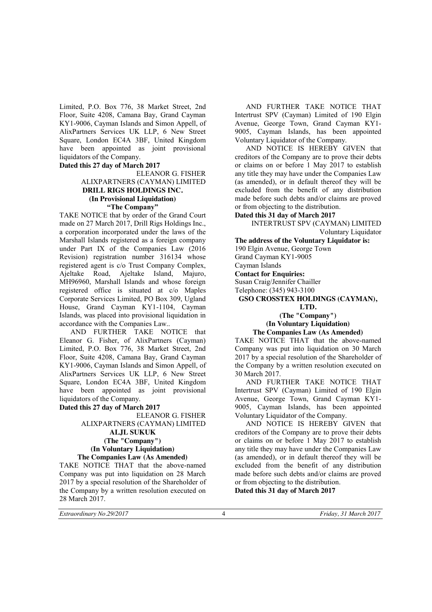Limited, P.O. Box 776, 38 Market Street, 2nd Floor, Suite 4208, Camana Bay, Grand Cayman KY1-9006, Cayman Islands and Simon Appell, of AlixPartners Services UK LLP, 6 New Street Square, London EC4A 3BF, United Kingdom have been appointed as joint provisional liquidators of the Company.

#### **Dated this 27 day of March 2017**

# ELEANOR G. FISHER ALIXPARTNERS (CAYMAN) LIMITED **DRILL RIGS HOLDINGS INC. (In Provisional Liquidation)**

**"The Company"** TAKE NOTICE that by order of the Grand Court made on 27 March 2017, Drill Rigs Holdings Inc., a corporation incorporated under the laws of the Marshall Islands registered as a foreign company under Part IX of the Companies Law (2016 Revision) registration number 316134 whose registered agent is c/o Trust Company Complex, Ajeltake Road, Ajeltake Island, Majuro, MH96960, Marshall Islands and whose foreign registered office is situated at c/o Maples Corporate Services Limited, PO Box 309, Ugland House, Grand Cayman KY1-1104, Cayman Islands, was placed into provisional liquidation in accordance with the Companies Law..

AND FURTHER TAKE NOTICE that Eleanor G. Fisher, of AlixPartners (Cayman) Limited, P.O. Box 776, 38 Market Street, 2nd Floor, Suite 4208, Camana Bay, Grand Cayman KY1-9006, Cayman Islands and Simon Appell, of AlixPartners Services UK LLP, 6 New Street Square, London EC4A 3BF, United Kingdom have been appointed as joint provisional liquidators of the Company.

#### **Dated this 27 day of March 2017**

# ELEANOR G. FISHER ALIXPARTNERS (CAYMAN) LIMITED

#### **ALJL SUKUK (The "Company") (In Voluntary Liquidation) The Companies Law (As Amended)**

TAKE NOTICE THAT that the above-named Company was put into liquidation on 28 March 2017 by a special resolution of the Shareholder of the Company by a written resolution executed on 28 March 2017.

AND FURTHER TAKE NOTICE THAT Intertrust SPV (Cayman) Limited of 190 Elgin Avenue, George Town, Grand Cayman KY1- 9005, Cayman Islands, has been appointed Voluntary Liquidator of the Company.

AND NOTICE IS HEREBY GIVEN that creditors of the Company are to prove their debts or claims on or before 1 May 2017 to establish any title they may have under the Companies Law (as amended), or in default thereof they will be excluded from the benefit of any distribution made before such debts and/or claims are proved or from objecting to the distribution.

# **Dated this 31 day of March 2017**

INTERTRUST SPV (CAYMAN) LIMITED Voluntary Liquidator

**The address of the Voluntary Liquidator is:** 190 Elgin Avenue, George Town

Grand Cayman KY1-9005

# Cayman Islands

#### **Contact for Enquiries:**

Susan Craig/Jennifer Chailler

Telephone: (345) 943-3100

#### **GSO CROSSTEX HOLDINGS (CAYMAN), LTD.**

# **(The "Company") (In Voluntary Liquidation)**

# **The Companies Law (As Amended)**

TAKE NOTICE THAT that the above-named Company was put into liquidation on 30 March 2017 by a special resolution of the Shareholder of the Company by a written resolution executed on 30 March 2017.

AND FURTHER TAKE NOTICE THAT Intertrust SPV (Cayman) Limited of 190 Elgin Avenue, George Town, Grand Cayman KY1- 9005, Cayman Islands, has been appointed Voluntary Liquidator of the Company.

AND NOTICE IS HEREBY GIVEN that creditors of the Company are to prove their debts or claims on or before 1 May 2017 to establish any title they may have under the Companies Law (as amended), or in default thereof they will be excluded from the benefit of any distribution made before such debts and/or claims are proved or from objecting to the distribution.

**Dated this 31 day of March 2017**

*Extraordinary No.29/2017* 4 *Friday, 31 March 2017*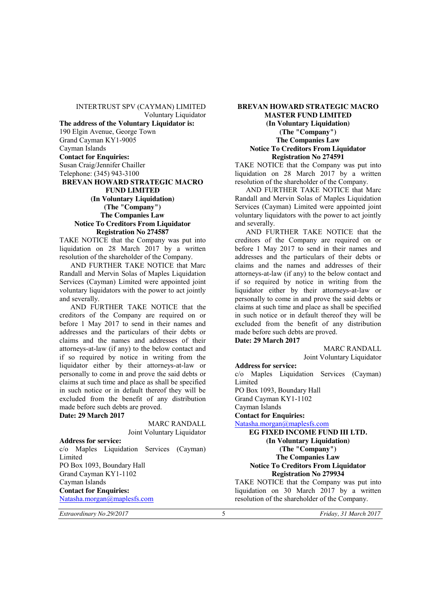INTERTRUST SPV (CAYMAN) LIMITED Voluntary Liquidator **The address of the Voluntary Liquidator is:** 190 Elgin Avenue, George Town Grand Cayman KY1-9005 Cayman Islands **Contact for Enquiries:** Susan Craig/Jennifer Chailler Telephone: (345) 943-3100 **BREVAN HOWARD STRATEGIC MACRO FUND LIMITED (In Voluntary Liquidation) (The "Company") The Companies Law Notice To Creditors From Liquidator Registration No 274587**

TAKE NOTICE that the Company was put into liquidation on 28 March 2017 by a written resolution of the shareholder of the Company.

AND FURTHER TAKE NOTICE that Marc Randall and Mervin Solas of Maples Liquidation Services (Cayman) Limited were appointed joint voluntary liquidators with the power to act jointly and severally.

AND FURTHER TAKE NOTICE that the creditors of the Company are required on or before 1 May 2017 to send in their names and addresses and the particulars of their debts or claims and the names and addresses of their attorneys-at-law (if any) to the below contact and if so required by notice in writing from the liquidator either by their attorneys-at-law or personally to come in and prove the said debts or claims at such time and place as shall be specified in such notice or in default thereof they will be excluded from the benefit of any distribution made before such debts are proved.

**Date: 29 March 2017**

MARC RANDALL Joint Voluntary Liquidator

**Address for service:** c/o Maples Liquidation Services (Cayman) Limited PO Box 1093, Boundary Hall Grand Cayman KY1-1102 Cayman Islands **Contact for Enquiries:** Natasha.morgan@maplesfs.com

*Extraordinary No.29/2017* 5 *Friday, 31 March 2017*

# **BREVAN HOWARD STRATEGIC MACRO MASTER FUND LIMITED (In Voluntary Liquidation) (The "Company") The Companies Law Notice To Creditors From Liquidator Registration No 274591**

TAKE NOTICE that the Company was put into liquidation on 28 March 2017 by a written resolution of the shareholder of the Company.

AND FURTHER TAKE NOTICE that Marc Randall and Mervin Solas of Maples Liquidation Services (Cayman) Limited were appointed joint voluntary liquidators with the power to act jointly and severally.

AND FURTHER TAKE NOTICE that the creditors of the Company are required on or before 1 May 2017 to send in their names and addresses and the particulars of their debts or claims and the names and addresses of their attorneys-at-law (if any) to the below contact and if so required by notice in writing from the liquidator either by their attorneys-at-law or personally to come in and prove the said debts or claims at such time and place as shall be specified in such notice or in default thereof they will be excluded from the benefit of any distribution made before such debts are proved. **Date: 29 March 2017**

MARC RANDALL

Joint Voluntary Liquidator

**Address for service:** c/o Maples Liquidation Services (Cayman) Limited PO Box 1093, Boundary Hall Grand Cayman KY1-1102 Cayman Islands **Contact for Enquiries:** Natasha.morgan@maplesfs.com **EG FIXED INCOME FUND III LTD. (In Voluntary Liquidation) (The "Company") The Companies Law Notice To Creditors From Liquidator Registration No 279934** TAKE NOTICE that the Company was put into

liquidation on 30 March  $2017$  by a written resolution of the shareholder of the Company.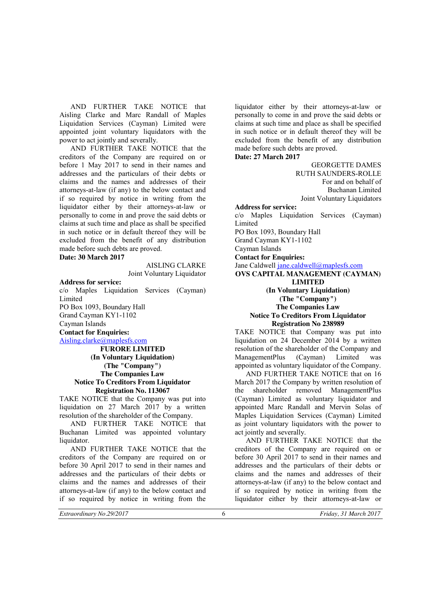AND FURTHER TAKE NOTICE that Aisling Clarke and Marc Randall of Maples Liquidation Services (Cayman) Limited were appointed joint voluntary liquidators with the power to act jointly and severally.

AND FURTHER TAKE NOTICE that the creditors of the Company are required on or before 1 May 2017 to send in their names and addresses and the particulars of their debts or claims and the names and addresses of their attorneys-at-law (if any) to the below contact and if so required by notice in writing from the liquidator either by their attorneys-at-law or personally to come in and prove the said debts or claims at such time and place as shall be specified in such notice or in default thereof they will be excluded from the benefit of any distribution made before such debts are proved.

**Date: 30 March 2017**

#### AISLING CLARKE Joint Voluntary Liquidator

**Address for service:**

c/o Maples Liquidation Services (Cayman) Limited PO Box 1093, Boundary Hall Grand Cayman KY1-1102 Cayman Islands **Contact for Enquiries:** Aisling.clarke@maplesfs.com **FURORE LIMITED**

**(In Voluntary Liquidation) (The "Company") The Companies Law Notice To Creditors From Liquidator Registration No. 113067**

TAKE NOTICE that the Company was put into liquidation on 27 March 2017 by a written resolution of the shareholder of the Company.

AND FURTHER TAKE NOTICE that Buchanan Limited was appointed voluntary liquidator.

AND FURTHER TAKE NOTICE that the creditors of the Company are required on or before 30 April 2017 to send in their names and addresses and the particulars of their debts or claims and the names and addresses of their attorneys-at-law (if any) to the below contact and if so required by notice in writing from the liquidator either by their attorneys-at-law or personally to come in and prove the said debts or claims at such time and place as shall be specified in such notice or in default thereof they will be excluded from the benefit of any distribution made before such debts are proved.

**Date: 27 March 2017**

GEORGETTE DAMES RUTH SAUNDERS-ROLLE For and on behalf of Buchanan Limited Joint Voluntary Liquidators

**Address for service:** c/o Maples Liquidation Services (Cayman) Limited PO Box 1093, Boundary Hall Grand Cayman KY1-1102 Cayman Islands

**Contact for Enquiries:**

Jane Caldwell jane.caldwell@maplesfs.com **OVS CAPITAL MANAGEMENT (CAYMAN)** 

### **LIMITED (In Voluntary Liquidation) (The "Company") The Companies Law Notice To Creditors From Liquidator Registration No 238989**

TAKE NOTICE that Company was put into liquidation on 24 December 2014 by a written resolution of the shareholder of the Company and ManagementPlus (Cayman) Limited was appointed as voluntary liquidator of the Company.

AND FURTHER TAKE NOTICE that on 16 March 2017 the Company by written resolution of the shareholder removed ManagementPlus (Cayman) Limited as voluntary liquidator and appointed Marc Randall and Mervin Solas of Maples Liquidation Services (Cayman) Limited as joint voluntary liquidators with the power to act jointly and severally.

AND FURTHER TAKE NOTICE that the creditors of the Company are required on or before 30 April 2017 to send in their names and addresses and the particulars of their debts or claims and the names and addresses of their attorneys-at-law (if any) to the below contact and if so required by notice in writing from the liquidator either by their attorneys-at-law or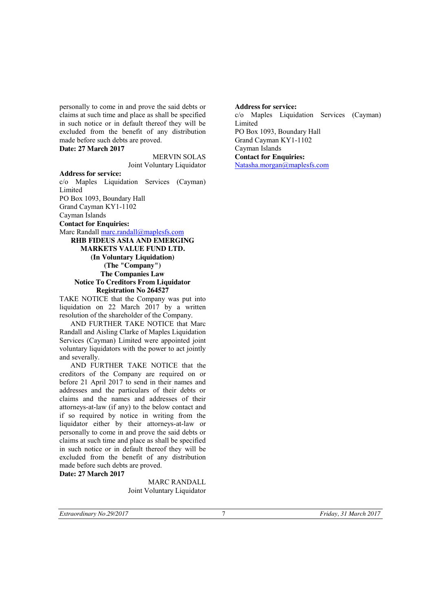personally to come in and prove the said debts or claims at such time and place as shall be specified in such notice or in default thereof they will be excluded from the benefit of any distribution made before such debts are proved.

**Date: 27 March 2017**

MERVIN SOLAS Joint Voluntary Liquidator

**Address for service:** c/o Maples Liquidation Services (Cayman) **Limited** PO Box 1093, Boundary Hall Grand Cayman KY1-1102

Cayman Islands

**Contact for Enquiries:**

Marc Randall marc.randall@maplesfs.com

**RHB FIDEUS ASIA AND EMERGING MARKETS VALUE FUND LTD. (In Voluntary Liquidation) (The "Company") The Companies Law Notice To Creditors From Liquidator Registration No 264527**

TAKE NOTICE that the Company was put into liquidation on 22 March 2017 by a written resolution of the shareholder of the Company.

AND FURTHER TAKE NOTICE that Marc Randall and Aisling Clarke of Maples Liquidation Services (Cayman) Limited were appointed joint voluntary liquidators with the power to act jointly and severally.

AND FURTHER TAKE NOTICE that the creditors of the Company are required on or before 21 April 2017 to send in their names and addresses and the particulars of their debts or claims and the names and addresses of their attorneys-at-law (if any) to the below contact and if so required by notice in writing from the liquidator either by their attorneys-at-law or personally to come in and prove the said debts or claims at such time and place as shall be specified in such notice or in default thereof they will be excluded from the benefit of any distribution made before such debts are proved. **Date: 27 March 2017**

> MARC RANDALL Joint Voluntary Liquidator

**Address for service:** c/o Maples Liquidation Services (Cayman) Limited PO Box 1093, Boundary Hall Grand Cayman KY1-1102 Cayman Islands **Contact for Enquiries:** Natasha.morgan@maplesfs.com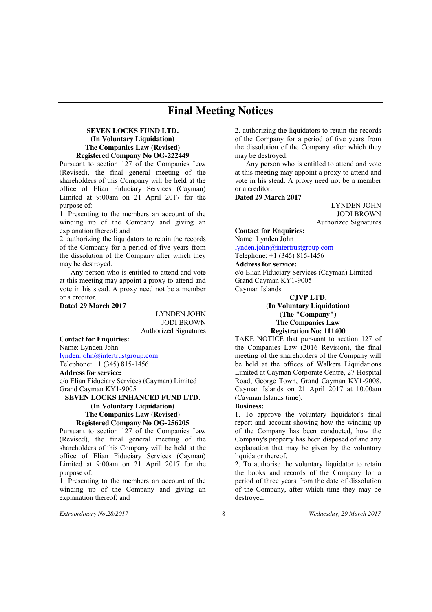# **Final Meeting Notices**

# **SEVEN LOCKS FUND LTD. (In Voluntary Liquidation) The Companies Law (Revised) Registered Company No OG-222449**

Pursuant to section 127 of the Companies Law (Revised), the final general meeting of the shareholders of this Company will be held at the office of Elian Fiduciary Services (Cayman) Limited at 9:00am on 21 April 2017 for the purpose of:

1. Presenting to the members an account of the winding up of the Company and giving an explanation thereof; and

2. authorizing the liquidators to retain the records of the Company for a period of five years from the dissolution of the Company after which they may be destroyed.

Any person who is entitled to attend and vote at this meeting may appoint a proxy to attend and vote in his stead. A proxy need not be a member or a creditor.

#### **Dated 29 March 2017**

LYNDEN JOHN JODI BROWN Authorized Signatures

#### **Contact for Enquiries:**

Name: Lynden John lynden.john@intertrustgroup.com Telephone: +1 (345) 815-1456

**Address for service:** c/o Elian Fiduciary Services (Cayman) Limited Grand Cayman KY1-9005

#### **SEVEN LOCKS ENHANCED FUND LTD. (In Voluntary Liquidation) The Companies Law (Revised) Registered Company No OG-256205**

Pursuant to section 127 of the Companies Law (Revised), the final general meeting of the shareholders of this Company will be held at the office of Elian Fiduciary Services (Cayman) Limited at 9:00am on 21 April 2017 for the purpose of:

1. Presenting to the members an account of the winding up of the Company and giving an explanation thereof; and

2. authorizing the liquidators to retain the records of the Company for a period of five years from the dissolution of the Company after which they may be destroyed.

Any person who is entitled to attend and vote at this meeting may appoint a proxy to attend and vote in his stead. A proxy need not be a member or a creditor.

#### **Dated 29 March 2017**

LYNDEN JOHN JODI BROWN Authorized Signatures

**Contact for Enquiries:** Name: Lynden John

lynden.john@intertrustgroup.com Telephone: +1 (345) 815-1456

**Address for service:**

c/o Elian Fiduciary Services (Cayman) Limited Grand Cayman KY1-9005 Cayman Islands

**CJVP LTD.**

# **(In Voluntary Liquidation) (The "Company") The Companies Law Registration No: 111400**

TAKE NOTICE that pursuant to section 127 of the Companies Law (2016 Revision), the final meeting of the shareholders of the Company will be held at the offices of Walkers Liquidations Limited at Cayman Corporate Centre, 27 Hospital Road, George Town, Grand Cayman KY1-9008, Cayman Islands on 21 April 2017 at 10.00am (Cayman Islands time).

#### **Business:**

1. To approve the voluntary liquidator's final report and account showing how the winding up of the Company has been conducted, how the Company's property has been disposed of and any explanation that may be given by the voluntary liquidator thereof.

2. To authorise the voluntary liquidator to retain the books and records of the Company for a period of three years from the date of dissolution of the Company, after which time they may be destroyed.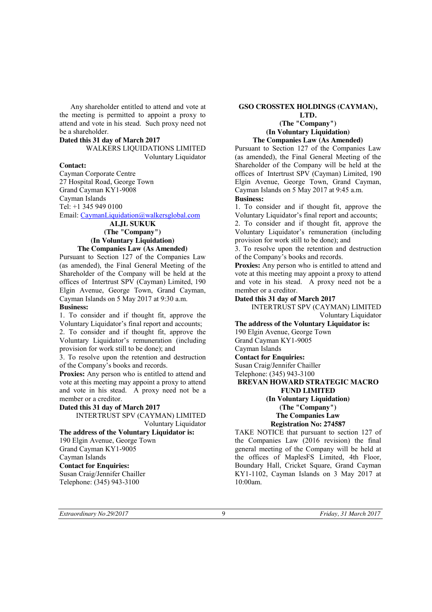Any shareholder entitled to attend and vote at the meeting is permitted to appoint a proxy to attend and vote in his stead. Such proxy need not be a shareholder.

#### **Dated this 31 day of March 2017**

WALKERS LIQUIDATIONS LIMITED Voluntary Liquidator

### **Contact:**

Cayman Corporate Centre 27 Hospital Road, George Town Grand Cayman KY1-9008 Cayman Islands Tel: +1 345 949 0100 Email: CaymanLiquidation@walkersglobal.com

#### **ALJL SUKUK (The "Company") (In Voluntary Liquidation) The Companies Law (As Amended)**

Pursuant to Section 127 of the Companies Law (as amended), the Final General Meeting of the Shareholder of the Company will be held at the offices of Intertrust SPV (Cayman) Limited, 190 Elgin Avenue, George Town, Grand Cayman, Cayman Islands on 5 May 2017 at 9:30 a.m. **Business:**

1. To consider and if thought fit, approve the Voluntary Liquidator's final report and accounts;

2. To consider and if thought fit, approve the Voluntary Liquidator's remuneration (including provision for work still to be done); and

3. To resolve upon the retention and destruction of the Company's books and records.

Proxies: Any person who is entitled to attend and vote at this meeting may appoint a proxy to attend and vote in his stead. A proxy need not be a member or a creditor.

#### **Dated this 31 day of March 2017**

INTERTRUST SPV (CAYMAN) LIMITED Voluntary Liquidator

#### **The address of the Voluntary Liquidator is:**

190 Elgin Avenue, George Town Grand Cayman KY1-9005 Cayman Islands **Contact for Enquiries:** Susan Craig/Jennifer Chailler Telephone: (345) 943-3100

### **GSO CROSSTEX HOLDINGS (CAYMAN),**

#### **LTD. (The "Company") (In Voluntary Liquidation) The Companies Law (As Amended)**

Pursuant to Section 127 of the Companies Law (as amended), the Final General Meeting of the Shareholder of the Company will be held at the offices of Intertrust SPV (Cayman) Limited, 190 Elgin Avenue, George Town, Grand Cayman, Cayman Islands on 5 May 2017 at 9:45 a.m. **Business:**

1. To consider and if thought fit, approve the Voluntary Liquidator's final report and accounts;

2. To consider and if thought fit, approve the Voluntary Liquidator's remuneration (including provision for work still to be done); and

3. To resolve upon the retention and destruction of the Company's books and records.

**Proxies:** Any person who is entitled to attend and vote at this meeting may appoint a proxy to attend and vote in his stead. A proxy need not be a member or a creditor.

### **Dated this 31 day of March 2017**

INTERTRUST SPV (CAYMAN) LIMITED Voluntary Liquidator

**The address of the Voluntary Liquidator is:** 190 Elgin Avenue, George Town Grand Cayman KY1-9005 Cayman Islands **Contact for Enquiries:**

Susan Craig/Jennifer Chailler Telephone: (345) 943-3100

#### **BREVAN HOWARD STRATEGIC MACRO FUND LIMITED (In Voluntary Liquidation)**

**(The "Company") The Companies Law**

# **Registration No: 274587**

TAKE NOTICE that pursuant to section 127 of the Companies Law (2016 revision) the final general meeting of the Company will be held at the offices of MaplesFS Limited, 4th Floor, Boundary Hall, Cricket Square, Grand Cayman KY1-1102, Cayman Islands on 3 May 2017 at 10:00am.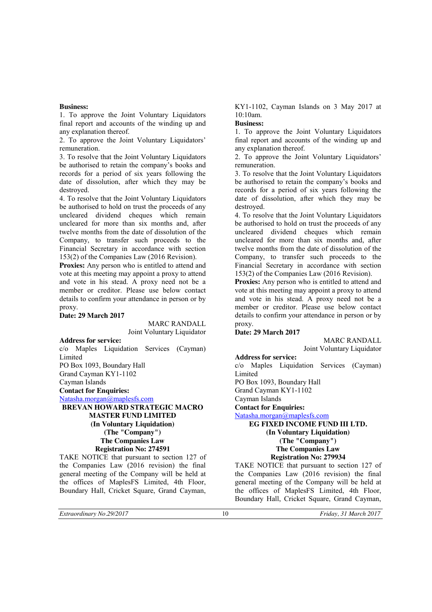### **Business:**

1. To approve the Joint Voluntary Liquidators final report and accounts of the winding up and any explanation thereof.

2. To approve the Joint Voluntary Liquidators' remuneration.

3. To resolve that the Joint Voluntary Liquidators be authorised to retain the company's books and records for a period of six years following the date of dissolution, after which they may be destroyed.

4. To resolve that the Joint Voluntary Liquidators be authorised to hold on trust the proceeds of any uncleared dividend cheques which remain uncleared for more than six months and, after twelve months from the date of dissolution of the Company, to transfer such proceeds to the Financial Secretary in accordance with section 153(2) of the Companies Law (2016 Revision).

**Proxies:** Any person who is entitled to attend and vote at this meeting may appoint a proxy to attend and vote in his stead. A proxy need not be a member or creditor. Please use below contact details to confirm your attendance in person or by proxy.

### **Date: 29 March 2017**

MARC RANDALL Joint Voluntary Liquidator

**Address for service:** c/o Maples Liquidation Services (Cayman) Limited PO Box 1093, Boundary Hall Grand Cayman KY1-1102 Cayman Islands

**Contact for Enquiries:**

Natasha.morgan@maplesfs.com

# **BREVAN HOWARD STRATEGIC MACRO MASTER FUND LIMITED (In Voluntary Liquidation) (The "Company") The Companies Law Registration No: 274591**

TAKE NOTICE that pursuant to section 127 of the Companies Law (2016 revision) the final general meeting of the Company will be held at the offices of MaplesFS Limited, 4th Floor, Boundary Hall, Cricket Square, Grand Cayman, KY1-1102, Cayman Islands on 3 May 2017 at 10:10am.

# **Business:**

1. To approve the Joint Voluntary Liquidators final report and accounts of the winding up and any explanation thereof.

2. To approve the Joint Voluntary Liquidators' remuneration.

3. To resolve that the Joint Voluntary Liquidators be authorised to retain the company's books and records for a period of six years following the date of dissolution, after which they may be destroyed.

4. To resolve that the Joint Voluntary Liquidators be authorised to hold on trust the proceeds of any uncleared dividend cheques which remain uncleared for more than six months and, after twelve months from the date of dissolution of the Company, to transfer such proceeds to the Financial Secretary in accordance with section 153(2) of the Companies Law (2016 Revision).

**Proxies:** Any person who is entitled to attend and vote at this meeting may appoint a proxy to attend and vote in his stead. A proxy need not be a member or creditor. Please use below contact details to confirm your attendance in person or by proxy.

### **Date: 29 March 2017**

MARC RANDALL Joint Voluntary Liquidator

#### **Address for service:**

c/o Maples Liquidation Services (Cayman) Limited

PO Box 1093, Boundary Hall

Grand Cayman KY1-1102

Cayman Islands

**Contact for Enquiries:**

Natasha.morgan@maplesfs.com

**EG FIXED INCOME FUND III LTD. (In Voluntary Liquidation)**

**(The "Company")**

# **The Companies Law**

# **Registration No: 279934**

TAKE NOTICE that pursuant to section 127 of the Companies Law (2016 revision) the final general meeting of the Company will be held at the offices of MaplesFS Limited, 4th Floor, Boundary Hall, Cricket Square, Grand Cayman,

*Extraordinary No.29/2017* 10 *Friday, 31 March 2017*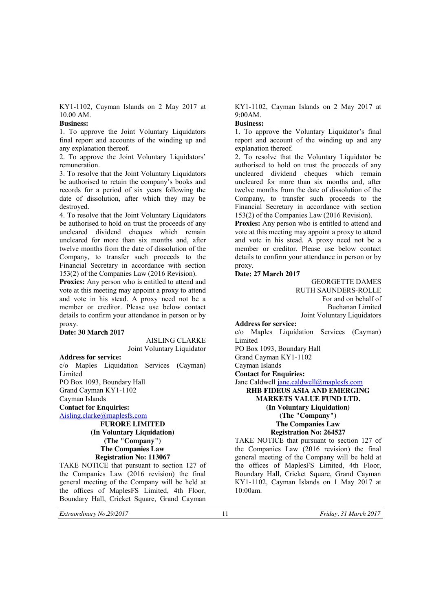KY1-1102, Cayman Islands on 2 May 2017 at 10.00 AM.

# **Business:**

1. To approve the Joint Voluntary Liquidators final report and accounts of the winding up and any explanation thereof.

2. To approve the Joint Voluntary Liquidators' remuneration.

3. To resolve that the Joint Voluntary Liquidators be authorised to retain the company's books and records for a period of six years following the date of dissolution, after which they may be destroyed.

4. To resolve that the Joint Voluntary Liquidators be authorised to hold on trust the proceeds of any uncleared dividend cheques which remain uncleared for more than six months and, after twelve months from the date of dissolution of the Company, to transfer such proceeds to the Financial Secretary in accordance with section 153(2) of the Companies Law (2016 Revision).

Proxies: Any person who is entitled to attend and vote at this meeting may appoint a proxy to attend and vote in his stead. A proxy need not be a member or creditor. Please use below contact details to confirm your attendance in person or by proxy.

#### **Date: 30 March 2017**

AISLING CLARKE Joint Voluntary Liquidator

#### **Address for service:**

c/o Maples Liquidation Services (Cayman) Limited PO Box 1093, Boundary Hall Grand Cayman KY1-1102 Cayman Islands

**Contact for Enquiries:**

Aisling.clarke@maplesfs.com

**FURORE LIMITED (In Voluntary Liquidation) (The "Company") The Companies Law Registration No: 113067**

TAKE NOTICE that pursuant to section 127 of the Companies Law (2016 revision) the final general meeting of the Company will be held at the offices of MaplesFS Limited, 4th Floor, Boundary Hall, Cricket Square, Grand Cayman

KY1-1102, Cayman Islands on 2 May 2017 at 9:00AM.

# **Business:**

1. To approve the Voluntary Liquidator's final report and account of the winding up and any explanation thereof.

2. To resolve that the Voluntary Liquidator be authorised to hold on trust the proceeds of any uncleared dividend cheques which remain uncleared for more than six months and, after twelve months from the date of dissolution of the Company, to transfer such proceeds to the Financial Secretary in accordance with section 153(2) of the Companies Law (2016 Revision).

Proxies: Any person who is entitled to attend and vote at this meeting may appoint a proxy to attend and vote in his stead. A proxy need not be a member or creditor. Please use below contact details to confirm your attendance in person or by proxy.

### **Date: 27 March 2017**

GEORGETTE DAMES RUTH SAUNDERS-ROLLE For and on behalf of Buchanan Limited Joint Voluntary Liquidators

**Address for service:**

c/o Maples Liquidation Services (Cayman) Limited

PO Box 1093, Boundary Hall

Grand Cayman KY1-1102

Cayman Islands

**Contact for Enquiries:**

Jane Caldwell jane.caldwell@maplesfs.com

**RHB FIDEUS ASIA AND EMERGING MARKETS VALUE FUND LTD. (In Voluntary Liquidation)**

**(The "Company") The Companies Law**

#### **Registration No: 264527**

TAKE NOTICE that pursuant to section 127 of the Companies Law (2016 revision) the final general meeting of the Company will be held at the offices of MaplesFS Limited, 4th Floor, Boundary Hall, Cricket Square, Grand Cayman KY1-1102, Cayman Islands on 1 May 2017 at 10:00am.

*Extraordinary No.29/2017* 11 *Friday, 31 March 2017*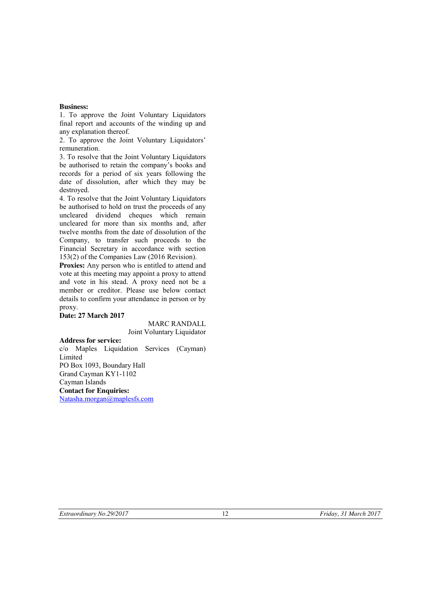# **Business:**

1. To approve the Joint Voluntary Liquidators final report and accounts of the winding up and any explanation thereof.

2. To approve the Joint Voluntary Liquidators' remuneration.

3. To resolve that the Joint Voluntary Liquidators be authorised to retain the company's books and records for a period of six years following the date of dissolution, after which they may be destroyed.

4. To resolve that the Joint Voluntary Liquidators be authorised to hold on trust the proceeds of any uncleared dividend cheques which remain uncleared for more than six months and, after twelve months from the date of dissolution of the Company, to transfer such proceeds to the Financial Secretary in accordance with section 153(2) of the Companies Law (2016 Revision).

**Proxies:** Any person who is entitled to attend and vote at this meeting may appoint a proxy to attend and vote in his stead. A proxy need not be a member or creditor. Please use below contact details to confirm your attendance in person or by proxy.

# **Date: 27 March 2017**

MARC RANDALL Joint Voluntary Liquidator

**Address for service:** c/o Maples Liquidation Services (Cayman) Limited PO Box 1093, Boundary Hall Grand Cayman KY1-1102 Cayman Islands **Contact for Enquiries:** Natasha.morgan@maplesfs.com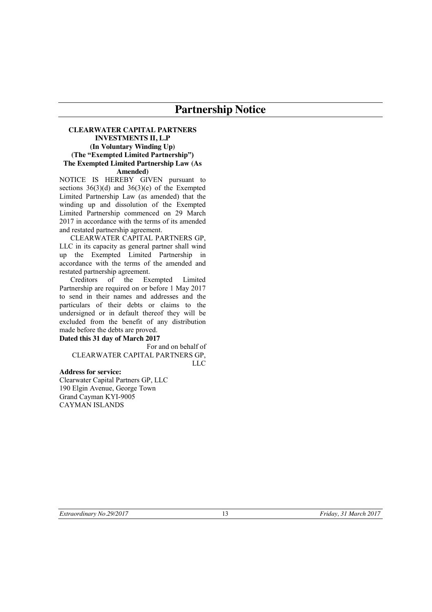# **Partnership Notice**

### **CLEARWATER CAPITAL PARTNERS INVESTMENTS II, L.P (In Voluntary Winding Up) (The "Exempted Limited Partnership") The Exempted Limited Partnership Law (As Amended)**

NOTICE IS HEREBY GIVEN pursuant to sections  $36(3)(d)$  and  $36(3)(e)$  of the Exempted Limited Partnership Law (as amended) that the winding up and dissolution of the Exempted Limited Partnership commenced on 29 March 2017 in accordance with the terms of its amended and restated partnership agreement.

CLEARWATER CAPITAL PARTNERS GP, LLC in its capacity as general partner shall wind up the Exempted Limited Partnership in accordance with the terms of the amended and restated partnership agreement.

Creditors of the Exempted Limited Partnership are required on or before 1 May 2017 to send in their names and addresses and the particulars of their debts or claims to the undersigned or in default thereof they will be excluded from the benefit of any distribution made before the debts are proved.

#### **Dated this 31 day of March 2017**

For and on behalf of CLEARWATER CAPITAL PARTNERS GP, LLC

**Address for service:** Clearwater Capital Partners GP, LLC 190 Elgin Avenue, George Town Grand Cayman KYI-9005 CAYMAN ISLANDS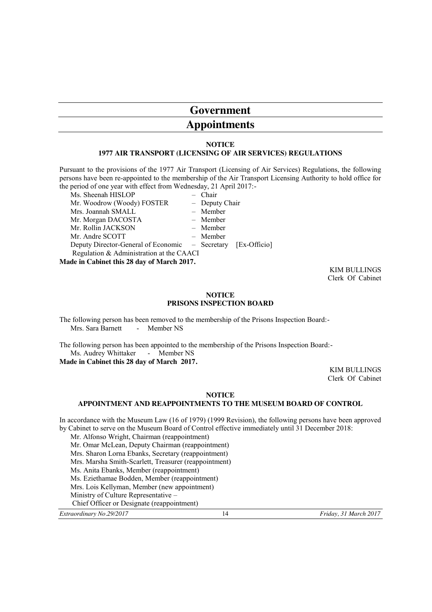# **Government**

# **Appointments**

#### **NOTICE 1977 AIR TRANSPORT (LICENSING OF AIR SERVICES) REGULATIONS**

Pursuant to the provisions of the 1977 Air Transport (Licensing of Air Services) Regulations, the following persons have been re-appointed to the membership of the Air Transport Licensing Authority to hold office for the period of one year with effect from Wednesday, 21 April 2017:-

Ms. Sheenah HISLOP – Chair Mr. Woodrow (Woody) FOSTER - Deputy Chair Mrs. Joannah SMALL – Member Mr. Morgan DACOSTA – Member Mr. Rollin JACKSON – Member Mr. Andre SCOTT – Member Deputy Director-General of Economic – Secretary [Ex-Officio] Regulation & Administration at the CAACI **Made in Cabinet this 28 day of March 2017.**

> KIM BULLINGS Clerk Of Cabinet

#### **NOTICE PRISONS INSPECTION BOARD**

The following person has been removed to the membership of the Prisons Inspection Board:- Mrs. Sara Barnett - Member NS

The following person has been appointed to the membership of the Prisons Inspection Board:- Ms. Audrey Whittaker - Member NS

**Made in Cabinet this 28 day of March 2017.**

KIM BULLINGS Clerk Of Cabinet

#### **NOTICE**

# **APPOINTMENT AND REAPPOINTMENTS TO THE MUSEUM BOARD OF CONTROL**

In accordance with the Museum Law (16 of 1979) (1999 Revision), the following persons have been approved by Cabinet to serve on the Museum Board of Control effective immediately until 31 December 2018:

Mr. Alfonso Wright, Chairman (reappointment) Mr. Omar McLean, Deputy Chairman (reappointment) Mrs. Sharon Lorna Ebanks, Secretary (reappointment) Mrs. Marsha Smith-Scarlett, Treasurer (reappointment) Ms. Anita Ebanks, Member (reappointment) Ms. Eziethamae Bodden, Member (reappointment) Mrs. Lois Kellyman, Member (new appointment) Ministry of Culture Representative – Chief Officer or Designate (reappointment)

*Extraordinary No.29/2017* 14 *Friday, 31 March 2017*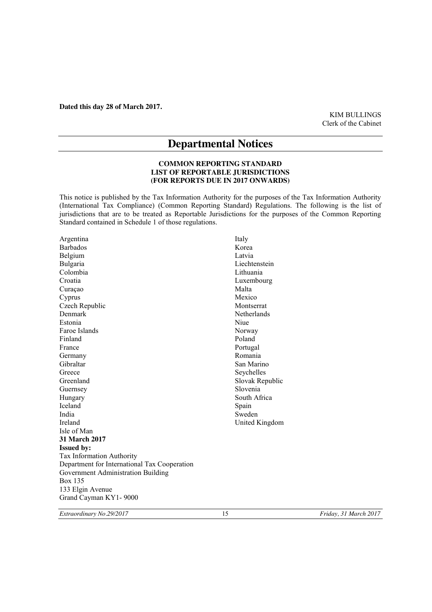**Dated this day 28 of March 2017.**

KIM BULLINGS Clerk of the Cabinet

# **Departmental Notices**

# **COMMON REPORTING STANDARD LIST OF REPORTABLE JURISDICTIONS (FOR REPORTS DUE IN 2017 ONWARDS)**

This notice is published by the Tax Information Authority for the purposes of the Tax Information Authority (International Tax Compliance) (Common Reporting Standard) Regulations. The following is the list of jurisdictions that are to be treated as Reportable Jurisdictions for the purposes of the Common Reporting Standard contained in Schedule 1 of those regulations.

| Argentina                                    | Italy           |
|----------------------------------------------|-----------------|
| <b>Barbados</b>                              | Korea           |
| Belgium                                      | Latvia          |
| Bulgaria                                     | Liechtenstein   |
| Colombia                                     | Lithuania       |
| Croatia                                      | Luxembourg      |
| Curaçao                                      | Malta           |
| Cyprus                                       | Mexico          |
| Czech Republic                               | Montserrat      |
| Denmark                                      | Netherlands     |
| Estonia                                      | Niue            |
| Faroe Islands                                | Norway          |
| Finland                                      | Poland          |
| France                                       | Portugal        |
| Germany                                      | Romania         |
| Gibraltar                                    | San Marino      |
| Greece                                       | Seychelles      |
| Greenland                                    | Slovak Republic |
| Guernsey                                     | Slovenia        |
| Hungary                                      | South Africa    |
| Iceland                                      | Spain           |
| India                                        | Sweden          |
| <b>Ireland</b>                               | United Kingdom  |
| Isle of Man                                  |                 |
| <b>31 March 2017</b>                         |                 |
| <b>Issued by:</b>                            |                 |
| Tax Information Authority                    |                 |
| Department for International Tax Cooperation |                 |
| Government Administration Building           |                 |
| <b>Box 135</b>                               |                 |
| 133 Elgin Avenue                             |                 |
| Grand Cayman KY1-9000                        |                 |

*Extraordinary No.29/2017* 15 *Friday, 31 March 2017*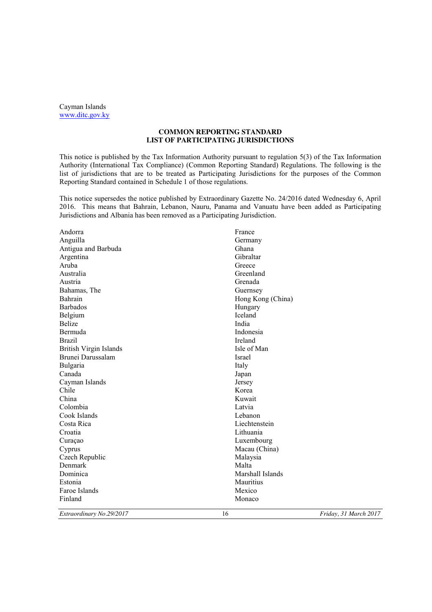Cayman Islands www.ditc.gov.ky

#### **COMMON REPORTING STANDARD LIST OF PARTICIPATING JURISDICTIONS**

This notice is published by the Tax Information Authority pursuant to regulation 5(3) of the Tax Information Authority (International Tax Compliance) (Common Reporting Standard) Regulations. The following is the list of jurisdictions that are to be treated as Participating Jurisdictions for the purposes of the Common Reporting Standard contained in Schedule 1 of those regulations.

This notice supersedes the notice published by Extraordinary Gazette No. 24/2016 dated Wednesday 6, April 2016. This means that Bahrain, Lebanon, Nauru, Panama and Vanuatu have been added as Participating Jurisdictions and Albania has been removed as a Participating Jurisdiction.

| Extraordinary No.29/2017      | 16                | Friday, 31 March 2017 |
|-------------------------------|-------------------|-----------------------|
| Finland                       | Monaco            |                       |
| Faroe Islands                 | Mexico            |                       |
| Estonia                       | Mauritius         |                       |
| Dominica                      | Marshall Islands  |                       |
| Denmark                       | Malta             |                       |
| Czech Republic                | Malaysia          |                       |
| Cyprus                        | Macau (China)     |                       |
| Curaçao                       | Luxembourg        |                       |
| Croatia                       | Lithuania         |                       |
| Costa Rica                    | Liechtenstein     |                       |
| Cook Islands                  | Lebanon           |                       |
| Colombia                      | Latvia            |                       |
| China                         | Kuwait            |                       |
| Chile                         | Korea             |                       |
| Cayman Islands                | Jersey            |                       |
| Canada                        | Japan             |                       |
| Bulgaria                      | Italy             |                       |
| Brunei Darussalam             | Israel            |                       |
| <b>British Virgin Islands</b> | Isle of Man       |                       |
| <b>Brazil</b>                 | Ireland           |                       |
| Bermuda                       | Indonesia         |                       |
| <b>Belize</b>                 | India             |                       |
| Belgium                       | Iceland           |                       |
| <b>Barbados</b>               | Hungary           |                       |
| Bahrain                       | Hong Kong (China) |                       |
| Bahamas, The                  | Guernsey          |                       |
| Austria                       | Grenada           |                       |
| Australia                     | Greenland         |                       |
| Aruba                         | Greece            |                       |
| Argentina                     | Gibraltar         |                       |
| Antigua and Barbuda           | Ghana             |                       |
| Anguilla                      | Germany           |                       |
| Andorra                       | France            |                       |
|                               |                   |                       |